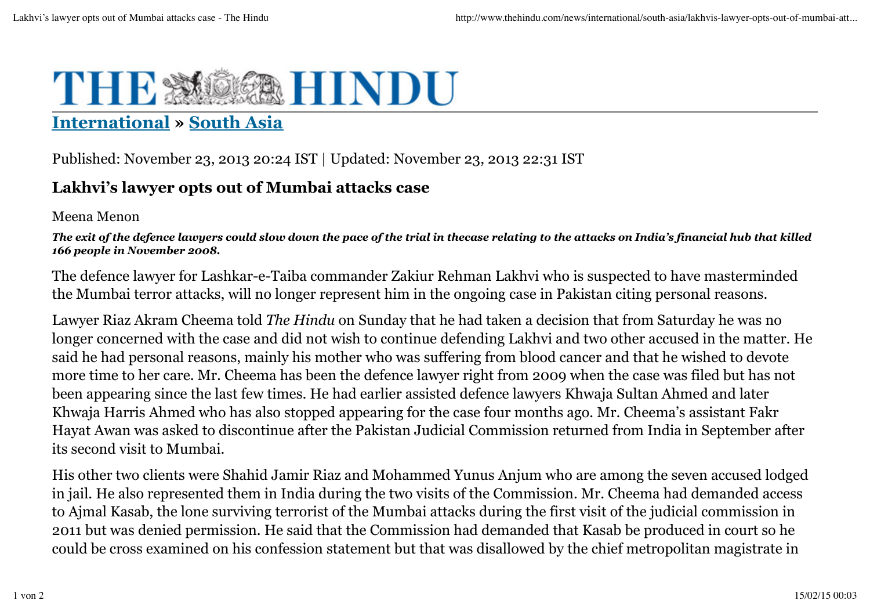## THE **MAHINDU**

## **International » South Asia**

Published: November 23, 2013 20:24 IST | Updated: November 23, 2013 22:31 IST

## **Lakhvi's lawyer opts out of Mumbai attacks case**

Meena Menon

*The exit of the defence lawyers could slow down the pace of the trial in thecase relating to the attacks on India's financial hub that killed 166 people in November 2008.*

The defence lawyer for Lashkar-e-Taiba commander Zakiur Rehman Lakhvi who is suspected to have masterminded the Mumbai terror attacks, will no longer represent him in the ongoing case in Pakistan citing personal reasons.

Lawyer Riaz Akram Cheema told *The Hindu* on Sunday that he had taken a decision that from Saturday he was no longer concerned with the case and did not wish to continue defending Lakhvi and two other accused in the matter. He said he had personal reasons, mainly his mother who was suffering from blood cancer and that he wished to devote more time to her care. Mr. Cheema has been the defence lawyer right from 2009 when the case was filed but has not been appearing since the last few times. He had earlier assisted defence lawyers Khwaja Sultan Ahmed and later Khwaja Harris Ahmed who has also stopped appearing for the case four months ago. Mr. Cheema's assistant Fakr Hayat Awan was asked to discontinue after the Pakistan Judicial Commission returned from India in September after its second visit to Mumbai.

His other two clients were Shahid Jamir Riaz and Mohammed Yunus Anjum who are among the seven accused lodged in jail. He also represented them in India during the two visits of the Commission. Mr. Cheema had demanded access to Ajmal Kasab, the lone surviving terrorist of the Mumbai attacks during the first visit of the judicial commission in 2011 but was denied permission. He said that the Commission had demanded that Kasab be produced in court so he could be cross examined on his confession statement but that was disallowed by the chief metropolitan magistrate in